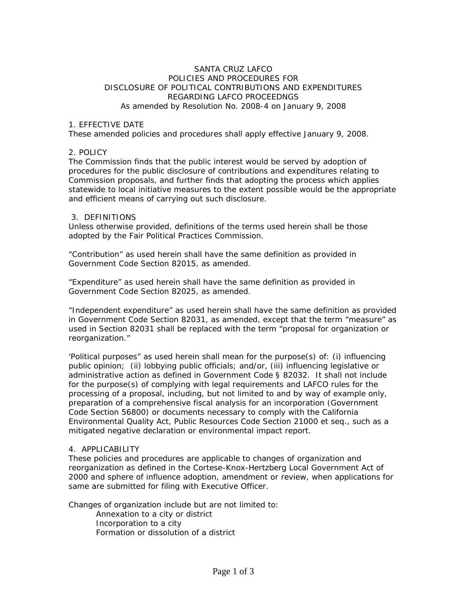## SANTA CRUZ LAFCO POLICIES AND PROCEDURES FOR DISCLOSURE OF POLITICAL CONTRIBUTIONS AND EXPENDITURES REGARDING LAFCO PROCEEDNGS As amended by Resolution No. 2008-4 on January 9, 2008

#### 1. EFFECTIVE DATE

These amended policies and procedures shall apply effective January 9, 2008.

## 2. POLICY

The Commission finds that the public interest would be served by adoption of procedures for the public disclosure of contributions and expenditures relating to Commission proposals, and further finds that adopting the process which applies statewide to local initiative measures to the extent possible would be the appropriate and efficient means of carrying out such disclosure.

#### 3. DEFINITIONS

Unless otherwise provided, definitions of the terms used herein shall be those adopted by the Fair Political Practices Commission.

"Contribution" as used herein shall have the same definition as provided in Government Code Section 82015, as amended.

"Expenditure" as used herein shall have the same definition as provided in Government Code Section 82025, as amended.

"Independent expenditure" as used herein shall have the same definition as provided in Government Code Section 82031, as amended, except that the term "measure" as used in Section 82031 shall be replaced with the term "proposal for organization or reorganization."

'Political purposes" as used herein shall mean for the purpose(s) of: (i) influencing public opinion; (ii) lobbying public officials; and/or, (iii) influencing legislative or administrative action as defined in Government Code § 82032. It shall not include for the purpose(s) of complying with legal requirements and LAFCO rules for the processing of a proposal, including, but not limited to and by way of example only, preparation of a comprehensive fiscal analysis for an incorporation (Government Code Section 56800) or documents necessary to comply with the California Environmental Quality Act, Public Resources Code Section 21000 et seq., such as a mitigated negative declaration or environmental impact report.

#### 4. APPLICABILITY

These policies and procedures are applicable to changes of organization and reorganization as defined in the Cortese-Knox-Hertzberg Local Government Act of 2000 and sphere of influence adoption, amendment or review, when applications for same are submitted for filing with Executive Officer.

Changes of organization include but are not limited to:

Annexation to a city or district Incorporation to a city Formation or dissolution of a district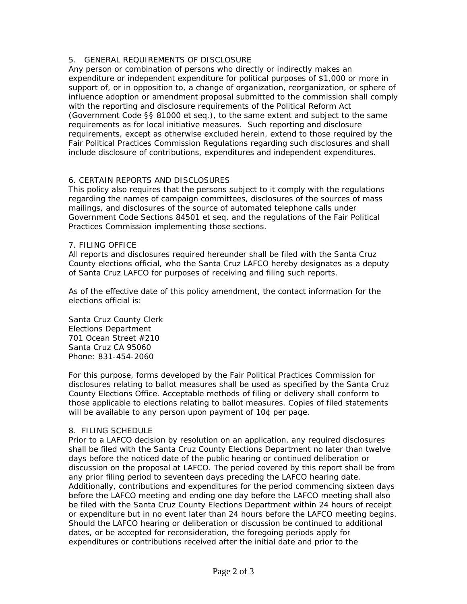# 5. GENERAL REQUIREMENTS OF DISCLOSURE

Any person or combination of persons who directly or indirectly makes an expenditure or independent expenditure for political purposes of \$1,000 or more in support of, or in opposition to, a change of organization, reorganization, or sphere of influence adoption or amendment proposal submitted to the commission shall comply with the reporting and disclosure requirements of the Political Reform Act (Government Code §§ 81000 et seq.), to the same extent and subject to the same requirements as for local initiative measures. Such reporting and disclosure requirements, except as otherwise excluded herein, extend to those required by the Fair Political Practices Commission Regulations regarding such disclosures and shall include disclosure of contributions, expenditures and independent expenditures.

# 6. CERTAIN REPORTS AND DISCLOSURES

This policy also requires that the persons subject to it comply with the regulations regarding the names of campaign committees, disclosures of the sources of mass mailings, and disclosures of the source of automated telephone calls under Government Code Sections 84501 et seq. and the regulations of the Fair Political Practices Commission implementing those sections.

## 7. FILING OFFICE

All reports and disclosures required hereunder shall be filed with the Santa Cruz County elections official, who the Santa Cruz LAFCO hereby designates as a deputy of Santa Cruz LAFCO for purposes of receiving and filing such reports.

As of the effective date of this policy amendment, the contact information for the elections official is:

Santa Cruz County Clerk Elections Department 701 Ocean Street #210 Santa Cruz CA 95060 Phone: 831-454-2060

For this purpose, forms developed by the Fair Political Practices Commission for disclosures relating to ballot measures shall be used as specified by the Santa Cruz County Elections Office. Acceptable methods of filing or delivery shall conform to those applicable to elections relating to ballot measures. Copies of filed statements will be available to any person upon payment of 10¢ per page.

### 8. FILING SCHEDULE

Prior to a LAFCO decision by resolution on an application, any required disclosures shall be filed with the Santa Cruz County Elections Department no later than twelve days before the noticed date of the public hearing or continued deliberation or discussion on the proposal at LAFCO. The period covered by this report shall be from any prior filing period to seventeen days preceding the LAFCO hearing date. Additionally, contributions and expenditures for the period commencing sixteen days before the LAFCO meeting and ending one day before the LAFCO meeting shall also be filed with the Santa Cruz County Elections Department within 24 hours of receipt or expenditure but in no event later than 24 hours before the LAFCO meeting begins. Should the LAFCO hearing or deliberation or discussion be continued to additional dates, or be accepted for reconsideration, the foregoing periods apply for expenditures or contributions received after the initial date and prior to the